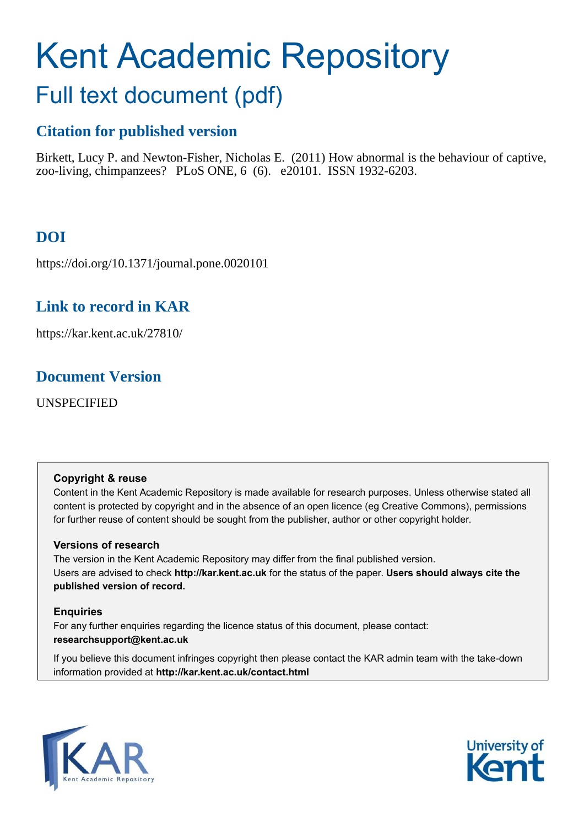# Kent Academic Repository

## Full text document (pdf)

## **Citation for published version**

Birkett, Lucy P. and Newton-Fisher, Nicholas E. (2011) How abnormal is the behaviour of captive, zoo-living, chimpanzees? PLoS ONE, 6 (6). e20101. ISSN 1932-6203.

## **DOI**

https://doi.org/10.1371/journal.pone.0020101

## **Link to record in KAR**

https://kar.kent.ac.uk/27810/

## **Document Version**

UNSPECIFIED

#### **Copyright & reuse**

Content in the Kent Academic Repository is made available for research purposes. Unless otherwise stated all content is protected by copyright and in the absence of an open licence (eg Creative Commons), permissions for further reuse of content should be sought from the publisher, author or other copyright holder.

#### **Versions of research**

The version in the Kent Academic Repository may differ from the final published version. Users are advised to check **http://kar.kent.ac.uk** for the status of the paper. **Users should always cite the published version of record.**

#### **Enquiries**

For any further enquiries regarding the licence status of this document, please contact: **researchsupport@kent.ac.uk**

If you believe this document infringes copyright then please contact the KAR admin team with the take-down information provided at **http://kar.kent.ac.uk/contact.html**



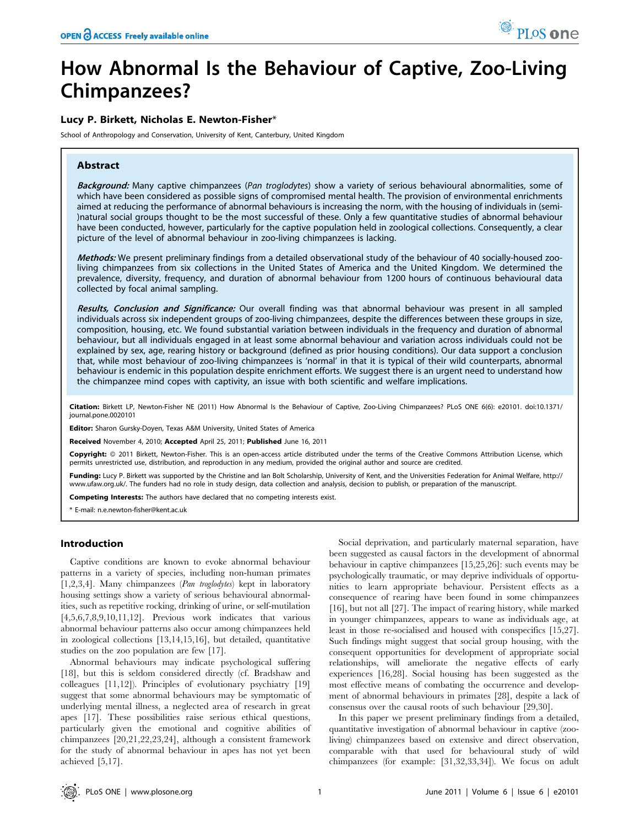## How Abnormal Is the Behaviour of Captive, Zoo-Living Chimpanzees?

#### Lucy P. Birkett, Nicholas E. Newton-Fisher\*

School of Anthropology and Conservation, University of Kent, Canterbury, United Kingdom

#### Abstract

Background: Many captive chimpanzees (Pan troglodytes) show a variety of serious behavioural abnormalities, some of which have been considered as possible signs of compromised mental health. The provision of environmental enrichments aimed at reducing the performance of abnormal behaviours is increasing the norm, with the housing of individuals in (semi- )natural social groups thought to be the most successful of these. Only a few quantitative studies of abnormal behaviour have been conducted, however, particularly for the captive population held in zoological collections. Consequently, a clear picture of the level of abnormal behaviour in zoo-living chimpanzees is lacking.

Methods: We present preliminary findings from a detailed observational study of the behaviour of 40 socially-housed zooliving chimpanzees from six collections in the United States of America and the United Kingdom. We determined the prevalence, diversity, frequency, and duration of abnormal behaviour from 1200 hours of continuous behavioural data collected by focal animal sampling.

Results, Conclusion and Significance: Our overall finding was that abnormal behaviour was present in all sampled individuals across six independent groups of zoo-living chimpanzees, despite the differences between these groups in size, composition, housing, etc. We found substantial variation between individuals in the frequency and duration of abnormal behaviour, but all individuals engaged in at least some abnormal behaviour and variation across individuals could not be explained by sex, age, rearing history or background (defined as prior housing conditions). Our data support a conclusion that, while most behaviour of zoo-living chimpanzees is 'normal' in that it is typical of their wild counterparts, abnormal behaviour is endemic in this population despite enrichment efforts. We suggest there is an urgent need to understand how the chimpanzee mind copes with captivity, an issue with both scientific and welfare implications.

Citation: Birkett LP, Newton-Fisher NE (2011) How Abnormal Is the Behaviour of Captive, Zoo-Living Chimpanzees? PLoS ONE 6(6): e20101. doi:10.1371/ journal.pone.0020101

Editor: Sharon Gursky-Doyen, Texas A&M University, United States of America

Received November 4, 2010; Accepted April 25, 2011; Published June 16, 2011

Copyright: @ 2011 Birkett, Newton-Fisher. This is an open-access article distributed under the terms of the Creative Commons Attribution License, which permits unrestricted use, distribution, and reproduction in any medium, provided the original author and source are credited.

Funding: Lucy P. Birkett was supported by the Christine and Ian Bolt Scholarship, University of Kent, and the Universities Federation for Animal Welfare, http:// www.ufaw.org.uk/. The funders had no role in study design, data collection and analysis, decision to publish, or preparation of the manuscript.

Competing Interests: The authors have declared that no competing interests exist.

\* E-mail: n.e.newton-fisher@kent.ac.uk

#### Introduction

Captive conditions are known to evoke abnormal behaviour patterns in a variety of species, including non-human primates [1,2,3,4]. Many chimpanzees (Pan troglodytes) kept in laboratory housing settings show a variety of serious behavioural abnormalities, such as repetitive rocking, drinking of urine, or self-mutilation [4,5,6,7,8,9,10,11,12]. Previous work indicates that various abnormal behaviour patterns also occur among chimpanzees held in zoological collections [13,14,15,16], but detailed, quantitative studies on the zoo population are few [17].

Abnormal behaviours may indicate psychological suffering [18], but this is seldom considered directly (cf. Bradshaw and colleagues [11,12]). Principles of evolutionary psychiatry [19] suggest that some abnormal behaviours may be symptomatic of underlying mental illness, a neglected area of research in great apes [17]. These possibilities raise serious ethical questions, particularly given the emotional and cognitive abilities of chimpanzees [20,21,22,23,24], although a consistent framework for the study of abnormal behaviour in apes has not yet been achieved [5,17].

Social deprivation, and particularly maternal separation, have been suggested as causal factors in the development of abnormal behaviour in captive chimpanzees [15,25,26]: such events may be psychologically traumatic, or may deprive individuals of opportunities to learn appropriate behaviour. Persistent effects as a consequence of rearing have been found in some chimpanzees [16], but not all [27]. The impact of rearing history, while marked in younger chimpanzees, appears to wane as individuals age, at least in those re-socialised and housed with conspecifics [15,27]. Such findings might suggest that social group housing, with the consequent opportunities for development of appropriate social relationships, will ameliorate the negative effects of early experiences [16,28]. Social housing has been suggested as the most effective means of combating the occurrence and development of abnormal behaviours in primates [28], despite a lack of consensus over the causal roots of such behaviour [29,30].

In this paper we present preliminary findings from a detailed, quantitative investigation of abnormal behaviour in captive (zooliving) chimpanzees based on extensive and direct observation, comparable with that used for behavioural study of wild chimpanzees (for example: [31,32,33,34]). We focus on adult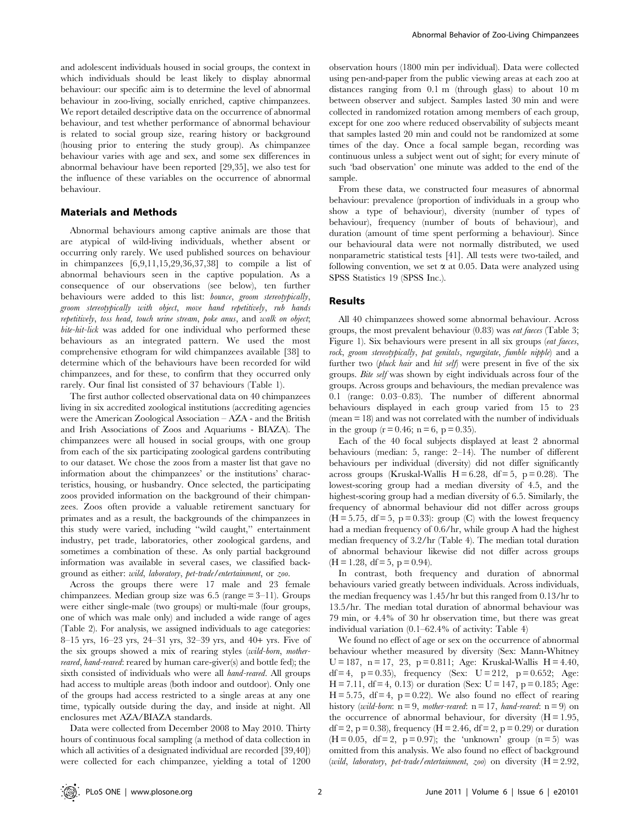and adolescent individuals housed in social groups, the context in which individuals should be least likely to display abnormal behaviour: our specific aim is to determine the level of abnormal behaviour in zoo-living, socially enriched, captive chimpanzees. We report detailed descriptive data on the occurrence of abnormal behaviour, and test whether performance of abnormal behaviour is related to social group size, rearing history or background (housing prior to entering the study group). As chimpanzee behaviour varies with age and sex, and some sex differences in abnormal behaviour have been reported [29,35], we also test for the influence of these variables on the occurrence of abnormal behaviour.

#### Materials and Methods

Abnormal behaviours among captive animals are those that are atypical of wild-living individuals, whether absent or occurring only rarely. We used published sources on behaviour in chimpanzees [6,9,11,15,29,36,37,38] to compile a list of abnormal behaviours seen in the captive population. As a consequence of our observations (see below), ten further behaviours were added to this list: bounce, groom stereotypically, groom stereotypically with object, move hand repetitively, rub hands repetitively, toss head, touch urine stream, poke anus, and walk on object; bite-hit-lick was added for one individual who performed these behaviours as an integrated pattern. We used the most comprehensive ethogram for wild chimpanzees available [38] to determine which of the behaviours have been recorded for wild chimpanzees, and for these, to confirm that they occurred only rarely. Our final list consisted of 37 behaviours (Table 1).

The first author collected observational data on 40 chimpanzees living in six accredited zoological institutions (accrediting agencies were the American Zoological Association – AZA - and the British and Irish Associations of Zoos and Aquariums - BIAZA). The chimpanzees were all housed in social groups, with one group from each of the six participating zoological gardens contributing to our dataset. We chose the zoos from a master list that gave no information about the chimpanzees' or the institutions' characteristics, housing, or husbandry. Once selected, the participating zoos provided information on the background of their chimpanzees. Zoos often provide a valuable retirement sanctuary for primates and as a result, the backgrounds of the chimpanzees in this study were varied, including ''wild caught,'' entertainment industry, pet trade, laboratories, other zoological gardens, and sometimes a combination of these. As only partial background information was available in several cases, we classified background as either: wild, laboratory, pet-trade/entertainment, or zoo.

Across the groups there were 17 male and 23 female chimpanzees. Median group size was 6.5 (range = 3–11). Groups were either single-male (two groups) or multi-male (four groups, one of which was male only) and included a wide range of ages (Table 2). For analysis, we assigned individuals to age categories: 8–15 yrs, 16–23 yrs, 24–31 yrs, 32–39 yrs, and 40+ yrs. Five of the six groups showed a mix of rearing styles (wild-born, motherreared, hand-reared: reared by human care-giver(s) and bottle fed); the sixth consisted of individuals who were all hand-reared. All groups had access to multiple areas (both indoor and outdoor). Only one of the groups had access restricted to a single areas at any one time, typically outside during the day, and inside at night. All enclosures met AZA/BIAZA standards.

Data were collected from December 2008 to May 2010. Thirty hours of continuous focal sampling (a method of data collection in which all activities of a designated individual are recorded [39,40]) were collected for each chimpanzee, yielding a total of 1200

observation hours (1800 min per individual). Data were collected using pen-and-paper from the public viewing areas at each zoo at distances ranging from 0.1 m (through glass) to about 10 m between observer and subject. Samples lasted 30 min and were collected in randomized rotation among members of each group, except for one zoo where reduced observability of subjects meant that samples lasted 20 min and could not be randomized at some times of the day. Once a focal sample began, recording was continuous unless a subject went out of sight; for every minute of such 'bad observation' one minute was added to the end of the sample.

From these data, we constructed four measures of abnormal behaviour: prevalence (proportion of individuals in a group who show a type of behaviour), diversity (number of types of behaviour), frequency (number of bouts of behaviour), and duration (amount of time spent performing a behaviour). Since our behavioural data were not normally distributed, we used nonparametric statistical tests [41]. All tests were two-tailed, and following convention, we set  $\alpha$  at 0.05. Data were analyzed using SPSS Statistics 19 (SPSS Inc.).

#### Results

All 40 chimpanzees showed some abnormal behaviour. Across groups, the most prevalent behaviour (0.83) was eat faeces (Table 3; Figure 1). Six behaviours were present in all six groups (eat faeces, rock, groom stereotypically, pat genitals, regurgitate, fumble nipple) and a further two (pluck hair and hit self) were present in five of the six groups. Bite self was shown by eight individuals across four of the groups. Across groups and behaviours, the median prevalence was 0.1 (range: 0.03–0.83). The number of different abnormal behaviours displayed in each group varied from 15 to 23 (mean = 18) and was not correlated with the number of individuals in the group  $(r = 0.46; n = 6, p = 0.35)$ .

Each of the 40 focal subjects displayed at least 2 abnormal behaviours (median: 5, range: 2–14). The number of different behaviours per individual (diversity) did not differ significantly across groups (Kruskal-Wallis  $H = 6.28$ , df = 5, p = 0.28). The lowest-scoring group had a median diversity of 4.5, and the highest-scoring group had a median diversity of 6.5. Similarly, the frequency of abnormal behaviour did not differ across groups  $(H = 5.75, df = 5, p = 0.33)$ : group  $(C)$  with the lowest frequency had a median frequency of 0.6/hr, while group A had the highest median frequency of 3.2/hr (Table 4). The median total duration of abnormal behaviour likewise did not differ across groups  $(H = 1.28, df = 5, p = 0.94).$ 

In contrast, both frequency and duration of abnormal behaviours varied greatly between individuals. Across individuals, the median frequency was 1.45/hr but this ranged from 0.13/hr to 13.5/hr. The median total duration of abnormal behaviour was 79 min, or 4.4% of 30 hr observation time, but there was great individual variation (0.1–62.4% of activity: Table 4)

We found no effect of age or sex on the occurrence of abnormal behaviour whether measured by diversity (Sex: Mann-Whitney U = 187, n = 17, 23, p = 0.811; Age: Kruskal-Wallis H = 4.40, df = 4, p = 0.35), frequency (Sex:  $U = 212$ , p = 0.652; Age:  $H = 7.11$ , df = 4, 0.13) or duration (Sex: U = 147, p = 0.185; Age:  $H = 5.75$ , df = 4, p = 0.22). We also found no effect of rearing history (wild-born:  $n = 9$ , mother-reared:  $n = 17$ , hand-reared:  $n = 9$ ) on the occurrence of abnormal behaviour, for diversity  $(H = 1.95,$ df = 2, p = 0.38), frequency (H = 2.46, df = 2, p = 0.29) or duration  $(H = 0.05, df = 2, p = 0.97)$ ; the 'unknown' group  $(n = 5)$  was omitted from this analysis. We also found no effect of background (wild, laboratory, pet-trade/entertainment, zoo) on diversity  $(H = 2.92,$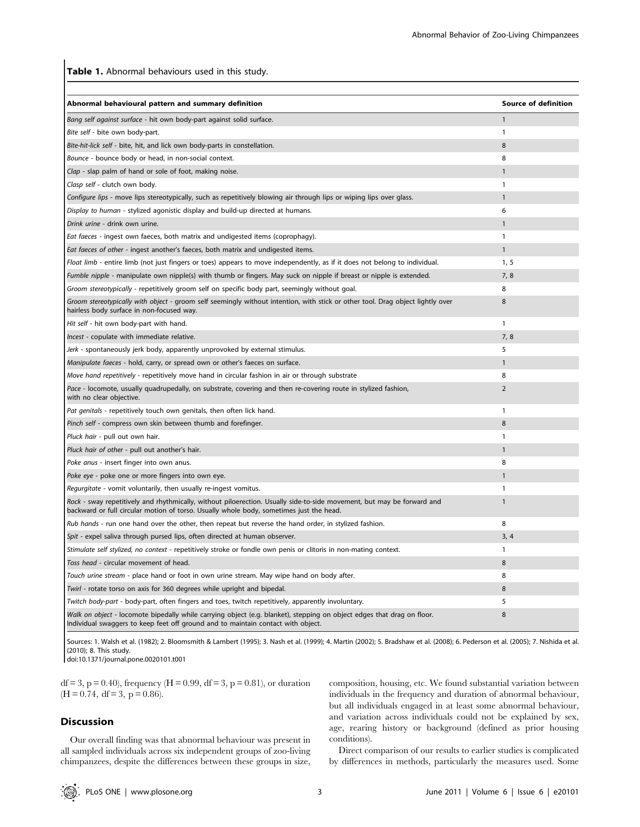Table 1. Abnormal behaviours used in this study.

| Abnormal behavioural pattern and summary definition                                                                                                                                                               | <b>Source of definition</b> |
|-------------------------------------------------------------------------------------------------------------------------------------------------------------------------------------------------------------------|-----------------------------|
| Bang self against surface - hit own body-part against solid surface.                                                                                                                                              | $\mathbf{1}$                |
| Bite self - bite own body-part.                                                                                                                                                                                   | $\mathbf{1}$                |
| Bite-hit-lick self - bite, hit, and lick own body-parts in constellation.                                                                                                                                         | 8                           |
| Bounce - bounce body or head, in non-social context.                                                                                                                                                              | 8                           |
| Clap - slap palm of hand or sole of foot, making noise.                                                                                                                                                           | $\mathbf{1}$                |
| Clasp self - clutch own body.                                                                                                                                                                                     | $\mathbf{1}$                |
| Configure lips - move lips stereotypically, such as repetitively blowing air through lips or wiping lips over glass.                                                                                              | $\mathbf{1}$                |
| Display to human - stylized agonistic display and build-up directed at humans.                                                                                                                                    | 6                           |
| Drink urine - drink own urine.                                                                                                                                                                                    | $\mathbf{1}$                |
| <i>Eat faeces - ingest own faeces, both matrix and undigested items (coprophagy).</i>                                                                                                                             | $\mathbf{1}$                |
| <i>Eat faeces of other - ingest another's faeces, both matrix and undigested items.</i>                                                                                                                           | $\mathbf{1}$                |
| Float limb - entire limb (not just fingers or toes) appears to move independently, as if it does not belong to individual.                                                                                        | 1, 5                        |
| Fumble nipple - manipulate own nipple(s) with thumb or fingers. May suck on nipple if breast or nipple is extended.                                                                                               | 7,8                         |
| Groom stereotypically - repetitively groom self on specific body part, seemingly without goal.                                                                                                                    | 8                           |
| Groom stereotypically with object - groom self seemingly without intention, with stick or other tool. Drag object lightly over<br>hairless body surface in non-focused way.                                       | 8                           |
| Hit self - hit own body-part with hand.                                                                                                                                                                           | $\mathbf{1}$                |
| Incest - copulate with immediate relative.                                                                                                                                                                        | 7,8                         |
| Jerk - spontaneously jerk body, apparently unprovoked by external stimulus.                                                                                                                                       | 5                           |
| Manipulate faeces - hold, carry, or spread own or other's faeces on surface.                                                                                                                                      | $\mathbf{1}$                |
| Move hand repetitively - repetitively move hand in circular fashion in air or through substrate                                                                                                                   | 8                           |
| Pace - locomote, usually quadrupedally, on substrate, covering and then re-covering route in stylized fashion,<br>with no clear objective.                                                                        | $\overline{2}$              |
| Pat genitals - repetitively touch own genitals, then often lick hand.                                                                                                                                             | $\mathbf{1}$                |
| Pinch self - compress own skin between thumb and forefinger.                                                                                                                                                      | 8                           |
| Pluck hair - pull out own hair.                                                                                                                                                                                   | 1                           |
| Pluck hair of other - pull out another's hair.                                                                                                                                                                    | $\mathbf{1}$                |
| Poke anus - insert finger into own anus.                                                                                                                                                                          | 8                           |
| <i>Poke eye - poke one or more fingers into own eye.</i>                                                                                                                                                          | $\mathbf{1}$                |
| Regurgitate - vomit voluntarily, then usually re-ingest vomitus.                                                                                                                                                  | $\mathbf{1}$                |
| Rock - sway repetitively and rhythmically, without piloerection. Usually side-to-side movement, but may be forward and<br>backward or full circular motion of torso. Usually whole body, sometimes just the head. | $\mathbf{1}$                |
| Rub hands - run one hand over the other, then repeat but reverse the hand order, in stylized fashion.                                                                                                             | 8                           |
| Spit - expel saliva through pursed lips, often directed at human observer.                                                                                                                                        | 3, 4                        |
| Stimulate self stylized, no context - repetitively stroke or fondle own penis or clitoris in non-mating context.                                                                                                  | 1                           |
| Toss head - circular movement of head.                                                                                                                                                                            | 8                           |
| Touch urine stream - place hand or foot in own urine stream. May wipe hand on body after.                                                                                                                         | 8                           |
| Twirl - rotate torso on axis for 360 degrees while upright and bipedal.                                                                                                                                           | 8                           |
| Twitch body-part - body-part, often fingers and toes, twitch repetitively, apparently involuntary.                                                                                                                | 5                           |
| Walk on object - locomote bipedally while carrying object (e.g. blanket), stepping on object edges that drag on floor.<br>Individual swaggers to keep feet off ground and to maintain contact with object.        | 8                           |

Sources: 1. Walsh et al. (1982); 2. Bloomsmith & Lambert (1995); 3. Nash et al. (1999); 4. Martin (2002); 5. Bradshaw et al. (2008); 6. Pederson et al. (2005); 7. Nishida et al. (2010); 8. This study.

doi:10.1371/journal.pone.0020101.t001

 $df = 3$ ,  $p = 0.40$ , frequency (H = 0.99, df = 3,  $p = 0.81$ ), or duration  $(H = 0.74, df = 3, p = 0.86).$ 

#### Discussion

Our overall finding was that abnormal behaviour was present in all sampled individuals across six independent groups of zoo-living chimpanzees, despite the differences between these groups in size, composition, housing, etc. We found substantial variation between individuals in the frequency and duration of abnormal behaviour, but all individuals engaged in at least some abnormal behaviour, and variation across individuals could not be explained by sex, age, rearing history or background (defined as prior housing conditions).

Direct comparison of our results to earlier studies is complicated by differences in methods, particularly the measures used. Some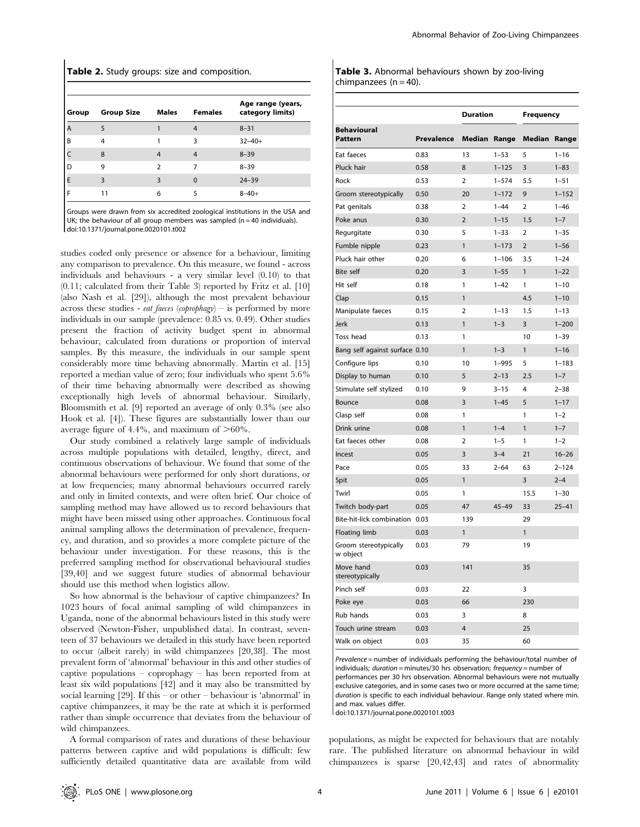Table 2. Study groups: size and composition.

| Group | <b>Group Size</b> | <b>Males</b>  | <b>Females</b> | Age range (years,<br>category limits) |
|-------|-------------------|---------------|----------------|---------------------------------------|
| A     |                   |               |                | $8 - 31$                              |
| B     | 4                 |               | ξ              | $32 - 40 +$                           |
|       | 8                 | 4             | 4              | $8 - 39$                              |
| D     | 9                 | $\mathcal{P}$ |                | $8 - 39$                              |
| E     | ٦                 | 3             | 0              | $24 - 39$                             |
|       |                   | 6             |                | $8 - 40 +$                            |

Groups were drawn from six accredited zoological institutions in the USA and UK; the behaviour of all group members was sampled ( $n = 40$  individuals). doi:10.1371/journal.pone.0020101.t002

studies coded only presence or absence for a behaviour, limiting any comparison to prevalence. On this measure, we found - across individuals and behaviours - a very similar level (0.10) to that (0.11; calculated from their Table 3) reported by Fritz et al. [10] (also Nash et al. [29]), although the most prevalent behaviour across these studies - *eat faeces* (*coprophagy*) – is performed by more individuals in our sample (prevalence: 0.85 vs. 0.49). Other studies present the fraction of activity budget spent in abnormal behaviour, calculated from durations or proportion of interval samples. By this measure, the individuals in our sample spent considerably more time behaving abnormally. Martin et al. [15] reported a median value of zero; four individuals who spent 5.6% of their time behaving abnormally were described as showing exceptionally high levels of abnormal behaviour. Similarly, Bloomsmith et al. [9] reported an average of only 0.3% (see also Hook et al. [4]). These figures are substantially lower than our average figure of 4.4%, and maximum of  $>60\%$ .

Our study combined a relatively large sample of individuals across multiple populations with detailed, lengthy, direct, and continuous observations of behaviour. We found that some of the abnormal behaviours were performed for only short durations, or at low frequencies; many abnormal behaviours occurred rarely and only in limited contexts, and were often brief. Our choice of sampling method may have allowed us to record behaviours that might have been missed using other approaches. Continuous focal animal sampling allows the determination of prevalence, frequency, and duration, and so provides a more complete picture of the behaviour under investigation. For these reasons, this is the preferred sampling method for observational behavioural studies [39,40] and we suggest future studies of abnormal behaviour should use this method when logistics allow.

So how abnormal is the behaviour of captive chimpanzees? In 1023 hours of focal animal sampling of wild chimpanzees in Uganda, none of the abnormal behaviours listed in this study were observed (Newton-Fisher, unpublished data). In contrast, seventeen of 37 behaviours we detailed in this study have been reported to occur (albeit rarely) in wild chimpanzees [20,38]. The most prevalent form of 'abnormal' behaviour in this and other studies of captive populations – coprophagy – has been reported from at least six wild populations [42] and it may also be transmitted by social learning [29]. If this – or other – behaviour is 'abnormal' in captive chimpanzees, it may be the rate at which it is performed rather than simple occurrence that deviates from the behaviour of wild chimpanzees.

A formal comparison of rates and durations of these behaviour patterns between captive and wild populations is difficult: few sufficiently detailed quantitative data are available from wild

|                          | Table 3. Abnormal behaviours shown by zoo-living |  |  |
|--------------------------|--------------------------------------------------|--|--|
| chimpanzees $(n = 40)$ . |                                                  |  |  |

|                                   |                   | <b>Duration</b>     |           | <b>Frequency</b>    |           |
|-----------------------------------|-------------------|---------------------|-----------|---------------------|-----------|
| <b>Behavioural</b><br>Pattern     | <b>Prevalence</b> | <b>Median Range</b> |           | <b>Median Range</b> |           |
| Eat faeces                        | 0.83              | 13                  | $1 - 53$  | 5                   | $1 - 16$  |
| Pluck hair                        | 0.58              | 8                   | $1 - 125$ | 3                   | $1 - 83$  |
| Rock                              | 0.53              | $\overline{2}$      | $1 - 574$ | 5.5                 | $1 - 51$  |
| Groom stereotypically             | 0.50              | 20                  | $1 - 172$ | 9                   | $1 - 152$ |
| Pat genitals                      | 0.38              | $\overline{2}$      | $1 - 44$  | $\overline{2}$      | $1 - 46$  |
| Poke anus                         | 0.30              | $\overline{2}$      | $1 - 15$  | 1.5                 | $1 - 7$   |
| Regurgitate                       | 0.30              | 5                   | $1 - 33$  | $\overline{2}$      | $1 - 35$  |
| Fumble nipple                     | 0.23              | $\mathbf{1}$        | $1 - 173$ | $\overline{2}$      | $1 - 56$  |
| Pluck hair other                  | 0.20              | 6                   | $1 - 106$ | 3.5                 | $1 - 24$  |
| <b>Bite self</b>                  | 0.20              | 3                   | $1 - 55$  | $\mathbf{1}$        | $1 - 22$  |
| Hit self                          | 0.18              | 1                   | $1 - 42$  | 1                   | $1 - 10$  |
| Clap                              | 0.15              | 1                   |           | 4.5                 | $1 - 10$  |
| Manipulate faeces                 | 0.15              | $\overline{2}$      | $1 - 13$  | 1.5                 | $1 - 13$  |
| Jerk                              | 0.13              | $\mathbf{1}$        | $1 - 3$   | $\overline{3}$      | $1 - 200$ |
| Toss head                         | 0.13              | 1                   |           | 10                  | $1 - 39$  |
| Bang self against surface 0.10    |                   | $\mathbf{1}$        | $1 - 3$   | $\mathbf{1}$        | $1 - 16$  |
| Configure lips                    | 0.10              | 10                  | $1 - 995$ | 5                   | $1 - 183$ |
| Display to human                  | 0.10              | 5                   | $2 - 13$  | 2.5                 | $1 - 7$   |
| Stimulate self stylized           | 0.10              | 9                   | $3 - 15$  | 4                   | $2 - 38$  |
| Bounce                            | 0.08              | 3                   | $1 - 45$  | 5                   | $1 - 17$  |
| Clasp self                        | 0.08              | 1                   |           | 1                   | $1 - 2$   |
| Drink urine                       | 0.08              | $\mathbf{1}$        | $1 - 4$   | $\mathbf{1}$        | $1 - 7$   |
| Eat faeces other                  | 0.08              | $\overline{2}$      | $1 - 5$   | 1                   | $1 - 2$   |
| Incest                            | 0.05              | 3                   | $3 - 4$   | 21                  | $16 - 26$ |
| Pace                              | 0.05              | 33                  | $2 - 64$  | 63                  | $2 - 124$ |
| Spit                              | 0.05              | $\mathbf{1}$        |           | 3                   | $2 - 4$   |
| Twirl                             | 0.05              | 1                   |           | 15.5                | $1 - 30$  |
| Twitch body-part                  | 0.05              | 47                  | $45 - 49$ | 33                  | $25 - 41$ |
| Bite-hit-lick combination         | 0.03              | 139                 |           | 29                  |           |
| <b>Floating limb</b>              | 0.03              | $\mathbf{1}$        |           | $\mathbf{1}$        |           |
| Groom stereotypically<br>w object | 0.03              | 79                  |           | 19                  |           |
| Move hand<br>stereotypically      | 0.03              | 141                 |           | 35                  |           |
| Pinch self                        | 0.03              | 22                  |           | 3                   |           |
| Poke eye                          | 0.03              | 66                  |           | 230                 |           |
| Rub hands                         | 0.03              | 3                   |           | 8                   |           |
| Touch urine stream                | 0.03              | $\overline{4}$      |           | 25                  |           |
| Walk on object                    | 0.03              | 35                  |           | 60                  |           |

Prevalence = number of individuals performing the behaviour/total number of individuals; duration = minutes/30 hrs observation; frequency = number of performances per 30 hrs observation. Abnormal behaviours were not mutually exclusive categories, and in some cases two or more occurred at the same time; duration is specific to each individual behaviour. Range only stated where min. and max. values differ.

doi:10.1371/journal.pone.0020101.t003

populations, as might be expected for behaviours that are notably rare. The published literature on abnormal behaviour in wild chimpanzees is sparse [20,42,43] and rates of abnormality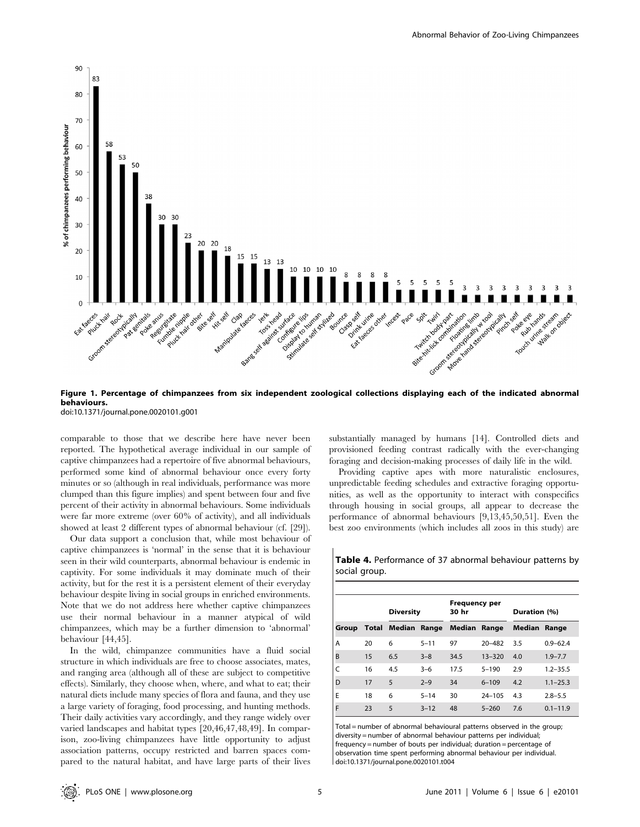

Figure 1. Percentage of chimpanzees from six independent zoological collections displaying each of the indicated abnormal behaviours.

doi:10.1371/journal.pone.0020101.g001

comparable to those that we describe here have never been reported. The hypothetical average individual in our sample of captive chimpanzees had a repertoire of five abnormal behaviours, performed some kind of abnormal behaviour once every forty minutes or so (although in real individuals, performance was more clumped than this figure implies) and spent between four and five percent of their activity in abnormal behaviours. Some individuals were far more extreme (over 60% of activity), and all individuals showed at least 2 different types of abnormal behaviour (cf. [29]).

Our data support a conclusion that, while most behaviour of captive chimpanzees is 'normal' in the sense that it is behaviour seen in their wild counterparts, abnormal behaviour is endemic in captivity. For some individuals it may dominate much of their activity, but for the rest it is a persistent element of their everyday behaviour despite living in social groups in enriched environments. Note that we do not address here whether captive chimpanzees use their normal behaviour in a manner atypical of wild chimpanzees, which may be a further dimension to 'abnormal' behaviour [44,45].

In the wild, chimpanzee communities have a fluid social structure in which individuals are free to choose associates, mates, and ranging area (although all of these are subject to competitive effects). Similarly, they choose when, where, and what to eat; their natural diets include many species of flora and fauna, and they use a large variety of foraging, food processing, and hunting methods. Their daily activities vary accordingly, and they range widely over varied landscapes and habitat types [20,46,47,48,49]. In comparison, zoo-living chimpanzees have little opportunity to adjust association patterns, occupy restricted and barren spaces compared to the natural habitat, and have large parts of their lives

substantially managed by humans [14]. Controlled diets and provisioned feeding contrast radically with the ever-changing foraging and decision-making processes of daily life in the wild.

Providing captive apes with more naturalistic enclosures, unpredictable feeding schedules and extractive foraging opportunities, as well as the opportunity to interact with conspecifics through housing in social groups, all appear to decrease the performance of abnormal behaviours [9,13,45,50,51]. Even the best zoo environments (which includes all zoos in this study) are

| social group. |    |                                 |          |                               |            |                     |              |
|---------------|----|---------------------------------|----------|-------------------------------|------------|---------------------|--------------|
|               |    | <b>Diversity</b>                |          | <b>Frequency per</b><br>30 hr |            | Duration (%)        |              |
| Group         |    | Total Median Range Median Range |          |                               |            | <b>Median Range</b> |              |
| A             | 20 | 6                               | $5 - 11$ | 97                            | $20 - 482$ | 3.5                 | $0.9 - 62.4$ |
| B             | 15 | 6.5                             | $3 - 8$  | 34.5                          | $13 - 320$ | 4.0                 | $1.9 - 7.7$  |
|               | 16 | 4.5                             | $3 - 6$  | 17.5                          | $5 - 190$  | 2.9                 | $1.2 - 35.5$ |

Table 4. Performance of 37 abnormal behaviour patterns by social group.

| Total = number of abnormal behavioural patterns observed in the group: |
|------------------------------------------------------------------------|
| diversity = number of abnormal behaviour patterns per individual;      |
| frequency = number of bouts per individual; duration = percentage of   |
| observation time spent performing abnormal behaviour per individual.   |
| doi:10.1371/journal.pone.0020101.t004                                  |

D 17 5 2–9 34 6–109 4.2 1.1–25.3 E 18 6 5–14 30 24–105 4.3 2.8–5.5 F 23 5 3–12 48 5–260 7.6 0.1–11.9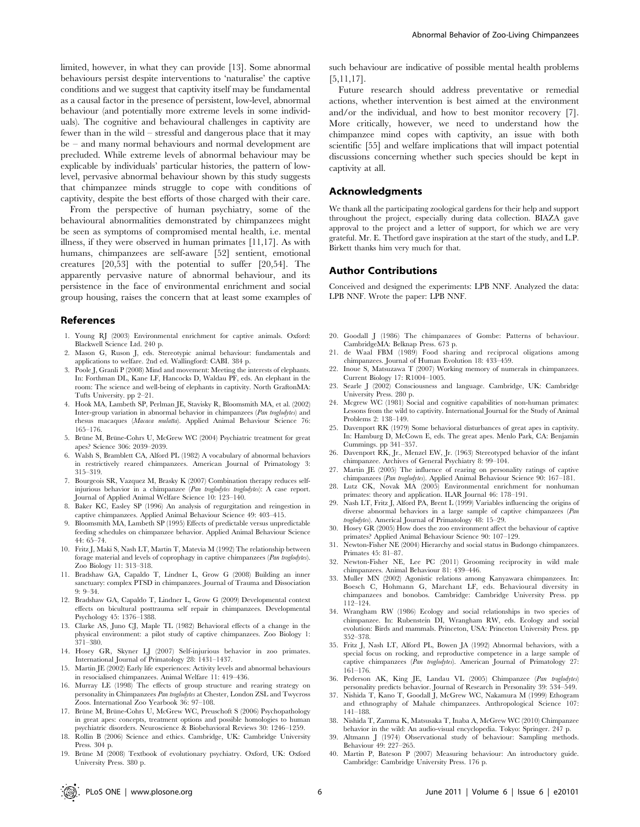limited, however, in what they can provide [13]. Some abnormal behaviours persist despite interventions to 'naturalise' the captive conditions and we suggest that captivity itself may be fundamental as a causal factor in the presence of persistent, low-level, abnormal behaviour (and potentially more extreme levels in some individuals). The cognitive and behavioural challenges in captivity are fewer than in the wild – stressful and dangerous place that it may be – and many normal behaviours and normal development are precluded. While extreme levels of abnormal behaviour may be explicable by individuals' particular histories, the pattern of lowlevel, pervasive abnormal behaviour shown by this study suggests that chimpanzee minds struggle to cope with conditions of captivity, despite the best efforts of those charged with their care.

From the perspective of human psychiatry, some of the behavioural abnormalities demonstrated by chimpanzees might be seen as symptoms of compromised mental health, i.e. mental illness, if they were observed in human primates [11,17]. As with humans, chimpanzees are self-aware [52] sentient, emotional creatures [20,53] with the potential to suffer [20,54]. The apparently pervasive nature of abnormal behaviour, and its persistence in the face of environmental enrichment and social group housing, raises the concern that at least some examples of

#### References

- 1. Young RJ (2003) Environmental enrichment for captive animals. Oxford: Blackwell Science Ltd. 240 p.
- 2. Mason G, Ruson J, eds. Stereotypic animal behaviour: fundamentals and applications to welfare. 2nd ed. Wallingford: CABI. 384 p.
- 3. Poole J, Granli P (2008) Mind and movement: Meeting the interests of elephants. In: Forthman DL, Kane LF, Hancocks D, Waldau PF, eds. An elephant in the room: The science and well-being of elephants in captivity. North GraftonMA: Tufts University. pp 2–21.
- 4. Hook MA, Lambeth SP, Perlman JE, Stavisky R, Bloomsmith MA, et al. (2002) Inter-group variation in abnormal behavior in chimpanzees (Pan troglodytes) and rhesus macaques (Macaca mulatta). Applied Animal Behaviour Science 76: 165–176.
- 5. Brüne M, Brüne-Cohrs U, McGrew WC (2004) Psychiatric treatment for great apes? Science 306: 2039–2039.
- 6. Walsh S, Bramblett CA, Alford PL (1982) A vocabulary of abnormal behaviors in restrictively reared chimpanzees. American Journal of Primatology 3: 315–319.
- 7. Bourgeois SR, Vazquez M, Brasky K (2007) Combination therapy reduces selfinjurious behavior in a chimpanzee (Pan troglodytes troglodytes): A case report. Journal of Applied Animal Welfare Science 10: 123–140.
- 8. Baker KC, Easley SP (1996) An analysis of regurgitation and reingestion in captive chimpanzees. Applied Animal Behaviour Science 49: 403–415.
- Bloomsmith MA, Lambeth SP (1995) Effects of predictable versus unpredictable feeding schedules on chimpanzee behavior. Applied Animal Behaviour Science 44: 65–74.
- 10. Fritz J, Maki S, Nash LT, Martin T, Matevia M (1992) The relationship between forage material and levels of coprophagy in captive chimpanzees (Pan troglodytes). Zoo Biology 11: 313–318.
- 11. Bradshaw GA, Capaldo T, Lindner L, Grow G (2008) Building an inner sanctuary: complex PTSD in chimpanzees. Journal of Trauma and Dissociation 9: 9–34.
- 12. Bradshaw GA, Capaldo T, Lindner L, Grow G (2009) Developmental context effects on bicultural posttrauma self repair in chimpanzees. Developmental Psychology 45: 1376–1388.
- 13. Clarke AS, Juno CJ, Maple TL (1982) Behavioral effects of a change in the physical environment: a pilot study of captive chimpanzees. Zoo Biology 1: 371–380.
- 14. Hosey GR, Skyner LJ (2007) Self-injurious behavior in zoo primates. International Journal of Primatology 28: 1431–1437.
- 15. Martin JE (2002) Early life experiences: Activity levels and abnormal behaviours in resocialised chimpanzees. Animal Welfare 11: 419–436.
- 16. Murray LE (1998) The effects of group structure and rearing strategy on personality in Chimpanzees Pan troglodytes at Chester, London ZSL and Twycross Zoos. International Zoo Yearbook 36: 97–108.
- 17. Brüne M, Brüne-Cohrs U, McGrew WC, Preuschoft S (2006) Psychopathology in great apes: concepts, treatment options and possible homologies to human psychiatric disorders. Neuroscience & Biobehavioral Reviews 30: 1246–1259.
- 18. Rollin B (2006) Science and ethics. Cambridge, UK: Cambridge University Press. 304 p.
- 19. Brüne M (2008) Textbook of evolutionary psychiatry. Oxford, UK: Oxford University Press. 380 p.

such behaviour are indicative of possible mental health problems [5,11,17].

Future research should address preventative or remedial actions, whether intervention is best aimed at the environment and/or the individual, and how to best monitor recovery [7]. More critically, however, we need to understand how the chimpanzee mind copes with captivity, an issue with both scientific [55] and welfare implications that will impact potential discussions concerning whether such species should be kept in captivity at all.

#### Acknowledgments

We thank all the participating zoological gardens for their help and support throughout the project, especially during data collection. BIAZA gave approval to the project and a letter of support, for which we are very grateful. Mr. E. Thetford gave inspiration at the start of the study, and L.P. Birkett thanks him very much for that.

#### Author Contributions

Conceived and designed the experiments: LPB NNF. Analyzed the data: LPB NNF. Wrote the paper: LPB NNF.

- 20. Goodall J (1986) The chimpanzees of Gombe: Patterns of behaviour. CambridgeMA: Belknap Press. 673 p.
- 21. de Waal FBM (1989) Food sharing and reciprocal oligations among chimpanzees. Journal of Human Evolution 18: 433–459.
- 22. Inoue S, Matsuzawa T (2007) Working memory of numerals in chimpanzees. Current Biology 17: R1004–1005.
- 23. Searle J (2002) Consciousness and language. Cambridge, UK: Cambridge University Press. 280 p.
- 24. Mcgrew WC (1981) Social and cognitive capabilities of non-human primates: Lessons from the wild to captivity. International Journal for the Study of Animal Problems 2: 138–149.
- 25. Davenport RK (1979) Some behavioral disturbances of great apes in captivity. In: Hamburg D, McCown E, eds. The great apes. Menlo Park, CA: Benjamin Cummings. pp 341–357.
- 26. Davenport RK, Jr., Menzel EW, Jr. (1963) Stereotyped behavior of the infant chimpanzee. Archives of General Psychiatry 8: 99–104.
- 27. Martin JE (2005) The influence of rearing on personality ratings of captive chimpanzees (Pan troglodytes). Applied Animal Behaviour Science 90: 167–181.
- 28. Lutz CK, Novak MA (2005) Environmental enrichment for nonhuman primates: theory and application. ILAR Journal 46: 178–191.
- 29. Nash LT, Fritz J, Alford PA, Brent L (1999) Variables influencing the origins of diverse abnormal behaviors in a large sample of captive chimpanzees (Pan troglodytes). Americal Journal of Primatology 48: 15–29.
- 30. Hosey GR (2005) How does the zoo environment affect the behaviour of captive primates? Applied Animal Behaviour Science 90: 107–129.
- 31. Newton-Fisher NE (2004) Hierarchy and social status in Budongo chimpanzees. Primates 45: 81–87.
- 32. Newton-Fisher NE, Lee PC (2011) Grooming reciprocity in wild male chimpanzees. Animal Behaviour 81: 439–446.
- 33. Muller MN (2002) Agonistic relations among Kanyawara chimpanzees. In: Boesch C, Hohmann G, Marchant LF, eds. Behavioural diversity in chimpanzees and bonobos. Cambridge: Cambridge University Press. pp 112–124.
- 34. Wrangham RW (1986) Ecology and social relationships in two species of chimpanzee. In: Rubenstein DI, Wrangham RW, eds. Ecology and social evolution: Birds and mammals. Princeton, USA: Princeton University Press. pp 352–378.
- 35. Fritz J, Nash LT, Alford PL, Bowen JA (1992) Abnormal behaviors, with a special focus on rocking, and reproductive competence in a large sample of captive chimpanzees (Pan troglodytes). American Journal of Primatology 27: 161–176.
- 36. Pederson AK, King JE, Landau VL (2005) Chimpanzee (Pan troglodytes) personality predicts behavior. Journal of Research in Personality 39: 534–549.
- 37. Nishida T, Kano T, Goodall J, McGrew WC, Nakamura M (1999) Ethogram and ethnography of Mahale chimpanzees. Anthropological Science 107: 141–188.
- 38. Nishida T, Zamma K, Matsusaka T, Inaba A, McGrew WC (2010) Chimpanzee behavior in the wild: An audio-visual encyclopedia. Tokyo: Springer. 247 p.
- 39. Altmann J (1974) Observational study of behaviour: Sampling methods. Behaviour 49: 227–265.
- 40. Martin P, Bateson P (2007) Measuring behaviour: An introductory guide. Cambridge: Cambridge University Press. 176 p.